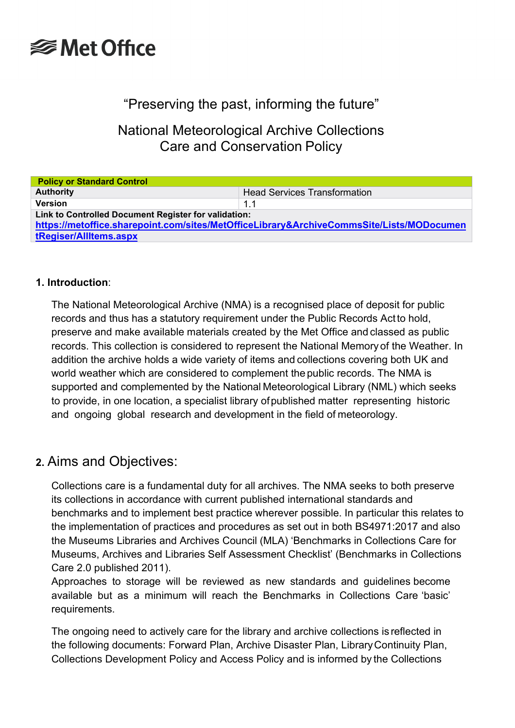# **<del></del>** Met Office

## "Preserving the past, informing the future"

National Meteorological Archive Collections Care and Conservation Policy

| <b>Policy or Standard Control</b>                                                                                                                |                                     |  |  |
|--------------------------------------------------------------------------------------------------------------------------------------------------|-------------------------------------|--|--|
| <b>Authority</b>                                                                                                                                 | <b>Head Services Transformation</b> |  |  |
| <b>Version</b>                                                                                                                                   | 1.1                                 |  |  |
| Link to Controlled Document Register for validation:<br>https://metoffice.sharepoint.com/sites/MetOfficeLibrary&ArchiveCommsSite/Lists/MODocumen |                                     |  |  |
| tRegiser/AllItems.aspx                                                                                                                           |                                     |  |  |

#### **1. Introduction**:

The National Meteorological Archive (NMA) is a recognised place of deposit for public records and thus has a statutory requirement under the Public Records Actto hold, preserve and make available materials created by the Met Office and classed as public records. This collection is considered to represent the National Memory of the Weather. In addition the archive holds a wide variety of items and collections covering both UK and world weather which are considered to complement the public records. The NMA is supported and complemented by the National Meteorological Library (NML) which seeks to provide, in one location, a specialist library ofpublished matter representing historic and ongoing global research and development in the field of meteorology.

### **2.** Aims and Objectives:

Collections care is a fundamental duty for all archives. The NMA seeks to both preserve its collections in accordance with current published international standards and benchmarks and to implement best practice wherever possible. In particular this relates to the implementation of practices and procedures as set out in both BS4971:2017 and also the Museums Libraries and Archives Council (MLA) 'Benchmarks in Collections Care for Museums, Archives and Libraries Self Assessment Checklist' (Benchmarks in Collections Care 2.0 published 2011).

Approaches to storage will be reviewed as new standards and guidelines become available but as a minimum will reach the Benchmarks in Collections Care 'basic' requirements.

The ongoing need to actively care for the library and archive collections is reflected in the following documents: Forward Plan, Archive Disaster Plan, LibraryContinuity Plan, Collections Development Policy and Access Policy and is informed by the Collections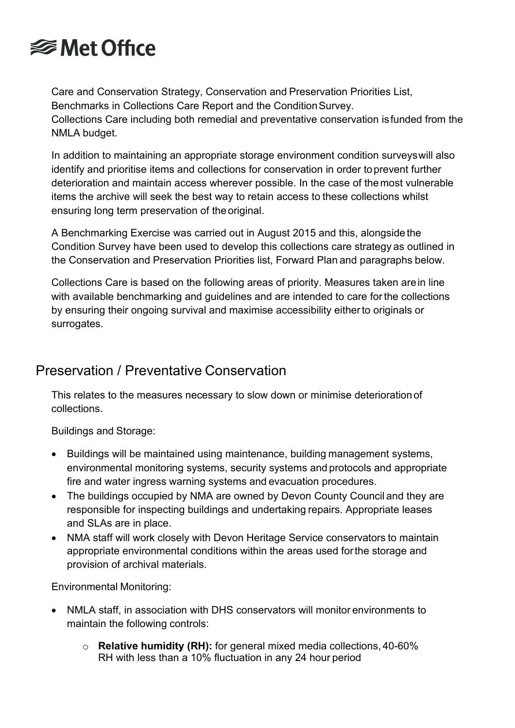

Care and Conservation Strategy, Conservation and Preservation Priorities List, Benchmarks in Collections Care Report and the ConditionSurvey. Collections Care including both remedial and preventative conservation isfunded from the NMLA budget.

In addition to maintaining an appropriate storage environment condition surveyswill also identify and prioritise items and collections for conservation in order toprevent further deterioration and maintain access wherever possible. In the case of themost vulnerable items the archive will seek the best way to retain access to these collections whilst ensuring long term preservation of the original.

A Benchmarking Exercise was carried out in August 2015 and this, alongside the Condition Survey have been used to develop this collections care strategy as outlined in the Conservation and Preservation Priorities list, Forward Plan and paragraphs below.

Collections Care is based on the following areas of priority. Measures taken arein line with available benchmarking and guidelines and are intended to care forthe collections by ensuring their ongoing survival and maximise accessibility eitherto originals or surrogates.

### Preservation / Preventative Conservation

This relates to the measures necessary to slow down or minimise deteriorationof collections.

Buildings and Storage:

- Buildings will be maintained using maintenance, building management systems, environmental monitoring systems, security systems and protocols and appropriate fire and water ingress warning systems and evacuation procedures.
- The buildings occupied by NMA are owned by Devon County Council and they are responsible for inspecting buildings and undertaking repairs. Appropriate leases and SLAs are in place.
- NMA staff will work closely with Devon Heritage Service conservators to maintain appropriate environmental conditions within the areas used forthe storage and provision of archival materials.

Environmental Monitoring:

- NMLA staff, in association with DHS conservators will monitor environments to maintain the following controls:
	- o **Relative humidity (RH):** for general mixed media collections, 40-60% RH with less than a 10% fluctuation in any 24 hour period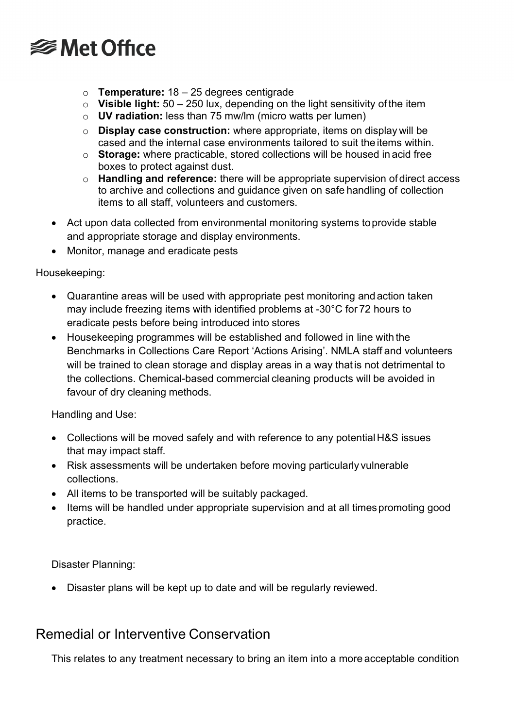# **<del></del>** Met Office

- o **Temperature:** 18 25 degrees centigrade
- o **Visible light:** 50 250 lux, depending on the light sensitivity of the item
- o **UV radiation:** less than 75 mw/lm (micro watts per lumen)
- o **Display case construction:** where appropriate, items on display will be cased and the internal case environments tailored to suit the items within.
- o **Storage:** where practicable, stored collections will be housed in acid free boxes to protect against dust.
- o **Handling and reference:** there will be appropriate supervision of direct access to archive and collections and guidance given on safe handling of collection items to all staff, volunteers and customers.
- Act upon data collected from environmental monitoring systems toprovide stable and appropriate storage and display environments.
- Monitor, manage and eradicate pests

Housekeeping:

- Quarantine areas will be used with appropriate pest monitoring and action taken may include freezing items with identified problems at -30°C for 72 hours to eradicate pests before being introduced into stores
- Housekeeping programmes will be established and followed in line with the Benchmarks in Collections Care Report 'Actions Arising'. NMLA staff and volunteers will be trained to clean storage and display areas in a way that is not detrimental to the collections. Chemical-based commercial cleaning products will be avoided in favour of dry cleaning methods.

Handling and Use:

- Collections will be moved safely and with reference to any potential H&S issues that may impact staff.
- Risk assessments will be undertaken before moving particularly vulnerable collections.
- All items to be transported will be suitably packaged.
- Items will be handled under appropriate supervision and at all times promoting good practice.

Disaster Planning:

• Disaster plans will be kept up to date and will be regularly reviewed.

## Remedial or Interventive Conservation

This relates to any treatment necessary to bring an item into a more acceptable condition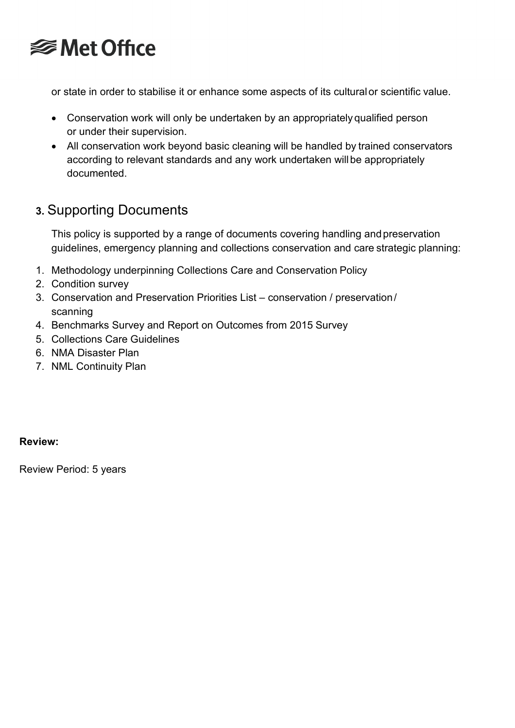

or state in order to stabilise it or enhance some aspects of its culturalor scientific value.

- Conservation work will only be undertaken by an appropriately qualified person or under their supervision.
- All conservation work beyond basic cleaning will be handled by trained conservators according to relevant standards and any work undertaken will be appropriately documented.

# **3.** Supporting Documents

This policy is supported by a range of documents covering handling andpreservation guidelines, emergency planning and collections conservation and care strategic planning:

- 1. Methodology underpinning Collections Care and Conservation Policy
- 2. Condition survey
- 3. Conservation and Preservation Priorities List conservation / preservation/ scanning
- 4. Benchmarks Survey and Report on Outcomes from 2015 Survey
- 5. Collections Care Guidelines
- 6. NMA Disaster Plan
- 7. NML Continuity Plan

#### **Review:**

Review Period: 5 years